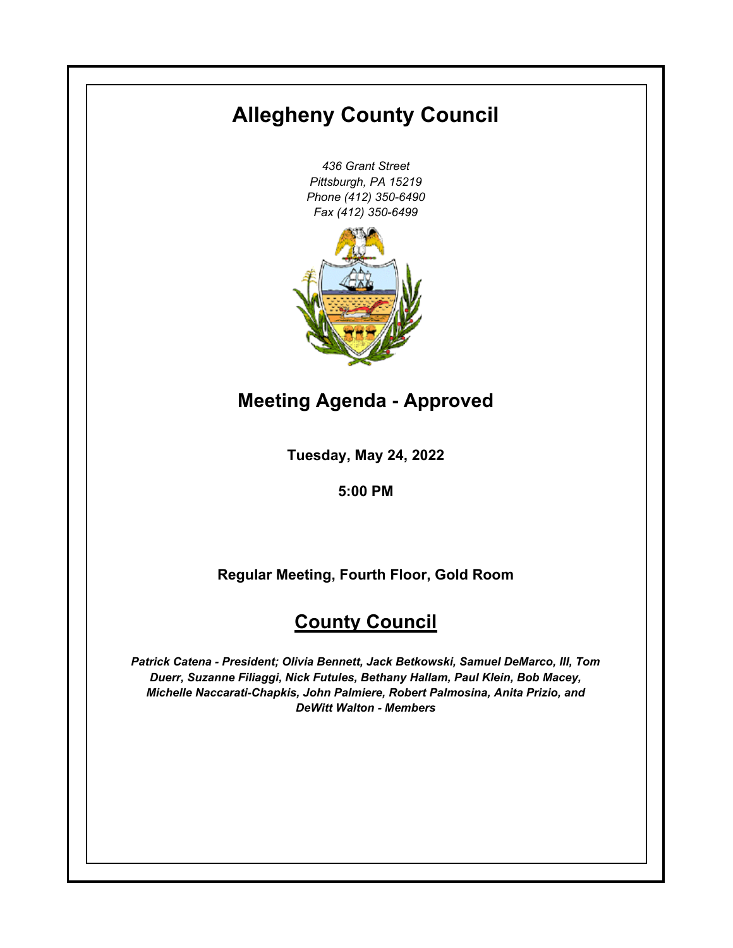# **Allegheny County Council**

*436 Grant Street Pittsburgh, PA 15219 Phone (412) 350-6490 Fax (412) 350-6499*



**Meeting Agenda - Approved**

**Tuesday, May 24, 2022**

**5:00 PM**

**Regular Meeting, Fourth Floor, Gold Room**

# **County Council**

*Patrick Catena - President; Olivia Bennett, Jack Betkowski, Samuel DeMarco, III, Tom Duerr, Suzanne Filiaggi, Nick Futules, Bethany Hallam, Paul Klein, Bob Macey, Michelle Naccarati-Chapkis, John Palmiere, Robert Palmosina, Anita Prizio, and DeWitt Walton - Members*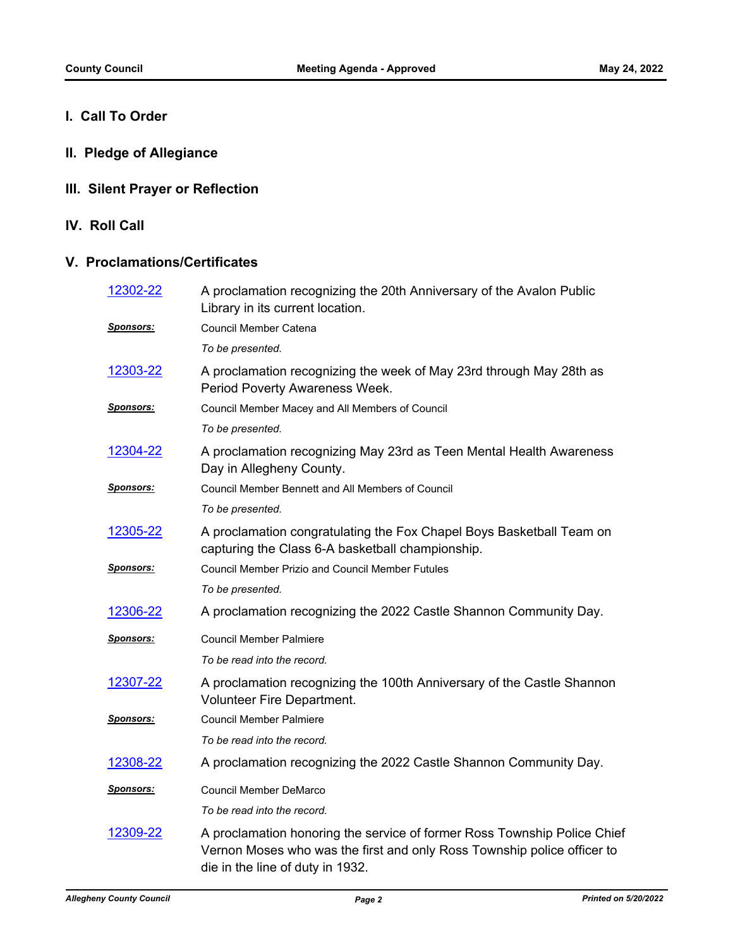# **I. Call To Order**

**II. Pledge of Allegiance**

# **III. Silent Prayer or Reflection**

**IV. Roll Call**

### **V. Proclamations/Certificates**

| 12302-22          | A proclamation recognizing the 20th Anniversary of the Avalon Public<br>Library in its current location.                                                                                |
|-------------------|-----------------------------------------------------------------------------------------------------------------------------------------------------------------------------------------|
| <u>Sponsors:</u>  | Council Member Catena                                                                                                                                                                   |
|                   | To be presented.                                                                                                                                                                        |
| 12303-22          | A proclamation recognizing the week of May 23rd through May 28th as<br>Period Poverty Awareness Week.                                                                                   |
| <u>Sponsors:</u>  | Council Member Macey and All Members of Council                                                                                                                                         |
|                   | To be presented.                                                                                                                                                                        |
| 12304-22          | A proclamation recognizing May 23rd as Teen Mental Health Awareness<br>Day in Allegheny County.                                                                                         |
| Sponsors:         | Council Member Bennett and All Members of Council                                                                                                                                       |
|                   | To be presented.                                                                                                                                                                        |
| <u>12305-22</u>   | A proclamation congratulating the Fox Chapel Boys Basketball Team on<br>capturing the Class 6-A basketball championship.                                                                |
| <u> Sponsors:</u> | <b>Council Member Prizio and Council Member Futules</b>                                                                                                                                 |
|                   | To be presented.                                                                                                                                                                        |
| <u>12306-22</u>   | A proclamation recognizing the 2022 Castle Shannon Community Day.                                                                                                                       |
| <b>Sponsors:</b>  | <b>Council Member Palmiere</b>                                                                                                                                                          |
|                   | To be read into the record.                                                                                                                                                             |
| 12307-22          | A proclamation recognizing the 100th Anniversary of the Castle Shannon<br><b>Volunteer Fire Department.</b>                                                                             |
| <u> Sponsors:</u> | <b>Council Member Palmiere</b>                                                                                                                                                          |
|                   | To be read into the record.                                                                                                                                                             |
| 12308-22          | A proclamation recognizing the 2022 Castle Shannon Community Day.                                                                                                                       |
| Sponsors:         | <b>Council Member DeMarco</b>                                                                                                                                                           |
|                   | To be read into the record.                                                                                                                                                             |
| 12309-22          | A proclamation honoring the service of former Ross Township Police Chief<br>Vernon Moses who was the first and only Ross Township police officer to<br>die in the line of duty in 1932. |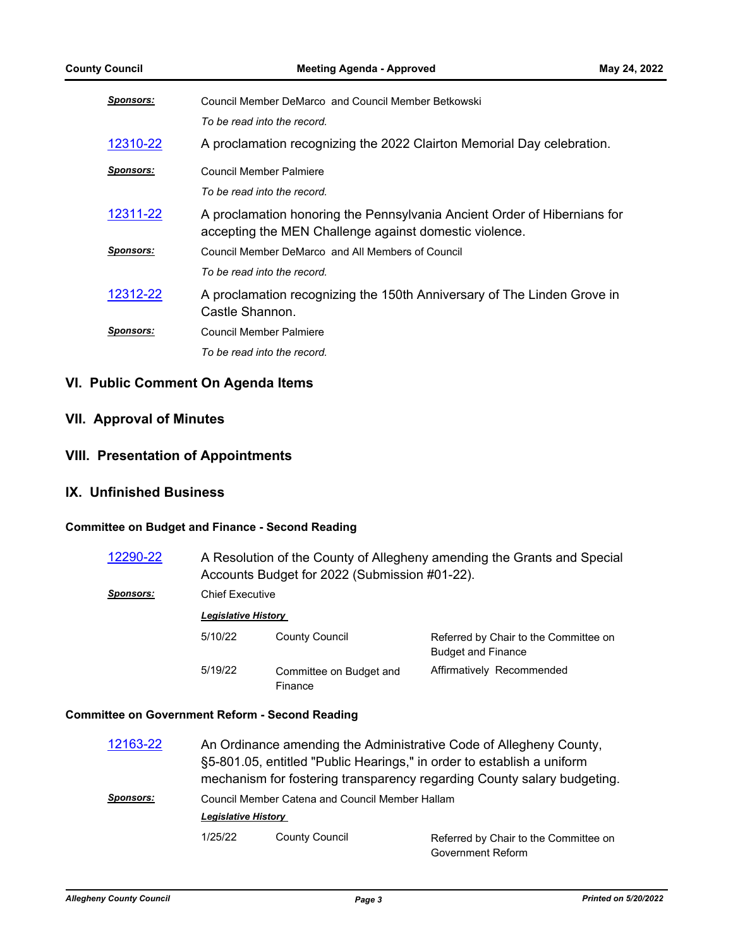| <b>Sponsors:</b> | Council Member DeMarco and Council Member Betkowski                                                                                |
|------------------|------------------------------------------------------------------------------------------------------------------------------------|
|                  | To be read into the record.                                                                                                        |
| 12310-22         | A proclamation recognizing the 2022 Clairton Memorial Day celebration.                                                             |
| <u>Sponsors:</u> | Council Member Palmiere                                                                                                            |
|                  | To be read into the record.                                                                                                        |
| 12311-22         | A proclamation honoring the Pennsylvania Ancient Order of Hibernians for<br>accepting the MEN Challenge against domestic violence. |
| <b>Sponsors:</b> | Council Member DeMarco and All Members of Council                                                                                  |
|                  | To be read into the record.                                                                                                        |
| 12312-22         | A proclamation recognizing the 150th Anniversary of The Linden Grove in<br>Castle Shannon.                                         |
| <b>Sponsors:</b> | Council Member Palmiere                                                                                                            |
|                  | To be read into the record.                                                                                                        |

## **VI. Public Comment On Agenda Items**

# **VII. Approval of Minutes**

## **VIII. Presentation of Appointments**

#### **IX. Unfinished Business**

#### **Committee on Budget and Finance - Second Reading**

| 12290-22         | A Resolution of the County of Allegheny amending the Grants and Special<br>Accounts Budget for 2022 (Submission #01-22). |                                    |                                                                    |  |
|------------------|--------------------------------------------------------------------------------------------------------------------------|------------------------------------|--------------------------------------------------------------------|--|
| <b>Sponsors:</b> | <b>Chief Executive</b>                                                                                                   |                                    |                                                                    |  |
|                  | <b>Legislative History</b>                                                                                               |                                    |                                                                    |  |
|                  | 5/10/22                                                                                                                  | County Council                     | Referred by Chair to the Committee on<br><b>Budget and Finance</b> |  |
|                  | 5/19/22                                                                                                                  | Committee on Budget and<br>Finance | Affirmatively Recommended                                          |  |

#### **Committee on Government Reform - Second Reading**

| 12163-22         |                                                                               |                       | An Ordinance amending the Administrative Code of Allegheny County,<br>§5-801.05, entitled "Public Hearings," in order to establish a uniform<br>mechanism for fostering transparency regarding County salary budgeting. |
|------------------|-------------------------------------------------------------------------------|-----------------------|-------------------------------------------------------------------------------------------------------------------------------------------------------------------------------------------------------------------------|
| <b>Sponsors:</b> | Council Member Catena and Council Member Hallam<br><b>Legislative History</b> |                       |                                                                                                                                                                                                                         |
|                  | 1/25/22                                                                       | <b>County Council</b> | Referred by Chair to the Committee on<br>Government Reform                                                                                                                                                              |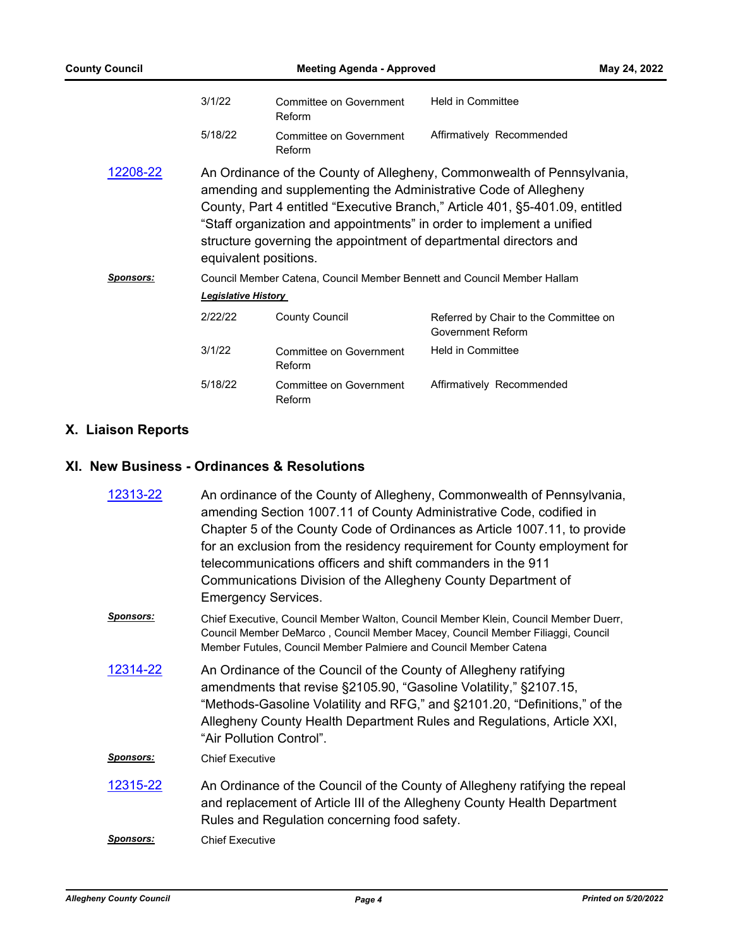| <b>County Council</b> | <b>Meeting Agenda - Approved</b>                                                                                                                                                                                                                                                                                                                                                                 |                                   | May 24, 2022                                                            |  |
|-----------------------|--------------------------------------------------------------------------------------------------------------------------------------------------------------------------------------------------------------------------------------------------------------------------------------------------------------------------------------------------------------------------------------------------|-----------------------------------|-------------------------------------------------------------------------|--|
|                       | 3/1/22                                                                                                                                                                                                                                                                                                                                                                                           | Committee on Government<br>Reform | <b>Held in Committee</b>                                                |  |
|                       | 5/18/22                                                                                                                                                                                                                                                                                                                                                                                          | Committee on Government<br>Reform | Affirmatively Recommended                                               |  |
| 12208-22              | An Ordinance of the County of Allegheny, Commonwealth of Pennsylvania,<br>amending and supplementing the Administrative Code of Allegheny<br>County, Part 4 entitled "Executive Branch," Article 401, §5-401.09, entitled<br>"Staff organization and appointments" in order to implement a unified<br>structure governing the appointment of departmental directors and<br>equivalent positions. |                                   |                                                                         |  |
| <b>Sponsors:</b>      |                                                                                                                                                                                                                                                                                                                                                                                                  |                                   | Council Member Catena, Council Member Bennett and Council Member Hallam |  |
|                       | <b>Legislative History</b>                                                                                                                                                                                                                                                                                                                                                                       |                                   |                                                                         |  |
|                       | 2/22/22                                                                                                                                                                                                                                                                                                                                                                                          | <b>County Council</b>             | Referred by Chair to the Committee on<br><b>Government Reform</b>       |  |
|                       | 3/1/22                                                                                                                                                                                                                                                                                                                                                                                           | Committee on Government<br>Reform | <b>Held in Committee</b>                                                |  |
|                       | 5/18/22                                                                                                                                                                                                                                                                                                                                                                                          | Committee on Government<br>Reform | Affirmatively Recommended                                               |  |

# **X. Liaison Reports**

# **XI. New Business - Ordinances & Resolutions**

| 12313-22         | An ordinance of the County of Allegheny, Commonwealth of Pennsylvania,<br>amending Section 1007.11 of County Administrative Code, codified in<br>Chapter 5 of the County Code of Ordinances as Article 1007.11, to provide<br>for an exclusion from the residency requirement for County employment for<br>telecommunications officers and shift commanders in the 911<br>Communications Division of the Allegheny County Department of<br><b>Emergency Services.</b> |
|------------------|-----------------------------------------------------------------------------------------------------------------------------------------------------------------------------------------------------------------------------------------------------------------------------------------------------------------------------------------------------------------------------------------------------------------------------------------------------------------------|
| <b>Sponsors:</b> | Chief Executive, Council Member Walton, Council Member Klein, Council Member Duerr,<br>Council Member DeMarco, Council Member Macey, Council Member Filiaggi, Council<br>Member Futules, Council Member Palmiere and Council Member Catena                                                                                                                                                                                                                            |
| 12314-22         | An Ordinance of the Council of the County of Allegheny ratifying<br>amendments that revise §2105.90, "Gasoline Volatility," §2107.15,<br>"Methods-Gasoline Volatility and RFG," and §2101.20, "Definitions," of the<br>Allegheny County Health Department Rules and Regulations, Article XXI,<br>"Air Pollution Control".                                                                                                                                             |
| Sponsors:        | <b>Chief Executive</b>                                                                                                                                                                                                                                                                                                                                                                                                                                                |
| 12315-22         | An Ordinance of the Council of the County of Allegheny ratifying the repeal<br>and replacement of Article III of the Allegheny County Health Department<br>Rules and Regulation concerning food safety.                                                                                                                                                                                                                                                               |
| <b>Sponsors:</b> | <b>Chief Executive</b>                                                                                                                                                                                                                                                                                                                                                                                                                                                |